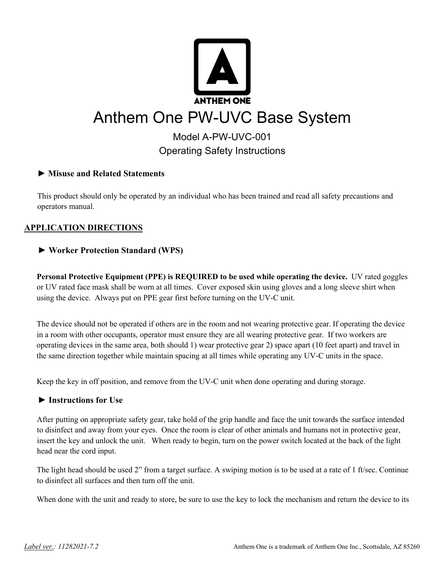

# Model A-PW-UVC-001 Operating Safety Instructions

## **► Misuse and Related Statements**

This product should only be operated by an individual who has been trained and read all safety precautions and operators manual.

# **APPLICATION DIRECTIONS**

# **► Worker Protection Standard (WPS)**

**Personal Protective Equipment (PPE) is REQUIRED to be used while operating the device.** UV rated goggles or UV rated face mask shall be worn at all times. Cover exposed skin using gloves and a long sleeve shirt when using the device. Always put on PPE gear first before turning on the UV-C unit.

The device should not be operated if others are in the room and not wearing protective gear. If operating the device in a room with other occupants, operator must ensure they are all wearing protective gear. If two workers are operating devices in the same area, both should 1) wear protective gear 2) space apart (10 feet apart) and travel in the same direction together while maintain spacing at all times while operating any UV-C units in the space.

Keep the key in off position, and remove from the UV-C unit when done operating and during storage.

## **► Instructions for Use**

After putting on appropriate safety gear, take hold of the grip handle and face the unit towards the surface intended to disinfect and away from your eyes. Once the room is clear of other animals and humans not in protective gear, insert the key and unlock the unit. When ready to begin, turn on the power switch located at the back of the light head near the cord input.

The light head should be used 2" from a target surface. A swiping motion is to be used at a rate of 1 ft/sec. Continue to disinfect all surfaces and then turn off the unit.

When done with the unit and ready to store, be sure to use the key to lock the mechanism and return the device to its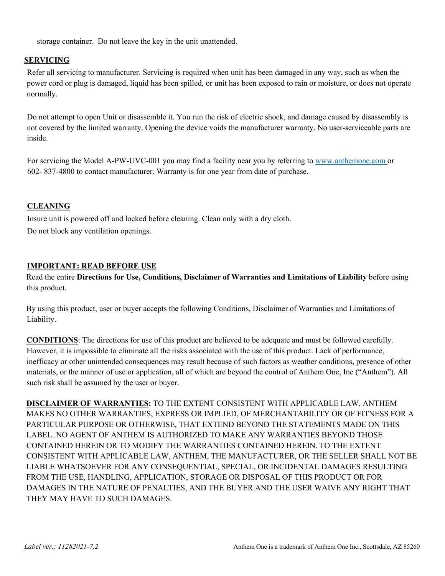storage container. Do not leave the key in the unit unattended.

#### **SERVICING**

Refer all servicing to manufacturer. Servicing is required when unit has been damaged in any way, such as when the power cord or plug is damaged, liquid has been spilled, or unit has been exposed to rain or moisture, or does not operate normally.

Do not attempt to open Unit or disassemble it. You run the risk of electric shock, and damage caused by disassembly is not covered by the limited warranty. Opening the device voids the manufacturer warranty. No user-serviceable parts are inside.

For servicing the Model A-PW-UVC-001 you may find a facility near you by referring to www.anthemone.com or 602- 837-4800 to contact manufacturer. Warranty is for one year from date of purchase.

#### **CLEANING**

Insure unit is powered off and locked before cleaning. Clean only with a dry cloth. Do not block any ventilation openings.

#### **IMPORTANT: READ BEFORE USE**

Read the entire **Directions for Use, Conditions, Disclaimer of Warranties and Limitations of Liability** before using this product.

By using this product, user or buyer accepts the following Conditions, Disclaimer of Warranties and Limitations of Liability.

**CONDITIONS**: The directions for use of this product are believed to be adequate and must be followed carefully. However, it is impossible to eliminate all the risks associated with the use of this product. Lack of performance, inefficacy or other unintended consequences may result because of such factors as weather conditions, presence of other materials, or the manner of use or application, all of which are beyond the control of Anthem One, Inc ("Anthem"). All such risk shall be assumed by the user or buyer.

**DISCLAIMER OF WARRANTIES:** TO THE EXTENT CONSISTENT WITH APPLICABLE LAW, ANTHEM MAKES NO OTHER WARRANTIES, EXPRESS OR IMPLIED, OF MERCHANTABILITY OR OF FITNESS FOR A PARTICULAR PURPOSE OR OTHERWISE, THAT EXTEND BEYOND THE STATEMENTS MADE ON THIS LABEL. NO AGENT OF ANTHEM IS AUTHORIZED TO MAKE ANY WARRANTIES BEYOND THOSE CONTAINED HEREIN OR TO MODIFY THE WARRANTIES CONTAINED HEREIN. TO THE EXTENT CONSISTENT WITH APPLICABLE LAW, ANTHEM, THE MANUFACTURER, OR THE SELLER SHALL NOT BE LIABLE WHATSOEVER FOR ANY CONSEQUENTIAL, SPECIAL, OR INCIDENTAL DAMAGES RESULTING FROM THE USE, HANDLING, APPLICATION, STORAGE OR DISPOSAL OF THIS PRODUCT OR FOR DAMAGES IN THE NATURE OF PENALTIES, AND THE BUYER AND THE USER WAIVE ANY RIGHT THAT THEY MAY HAVE TO SUCH DAMAGES.